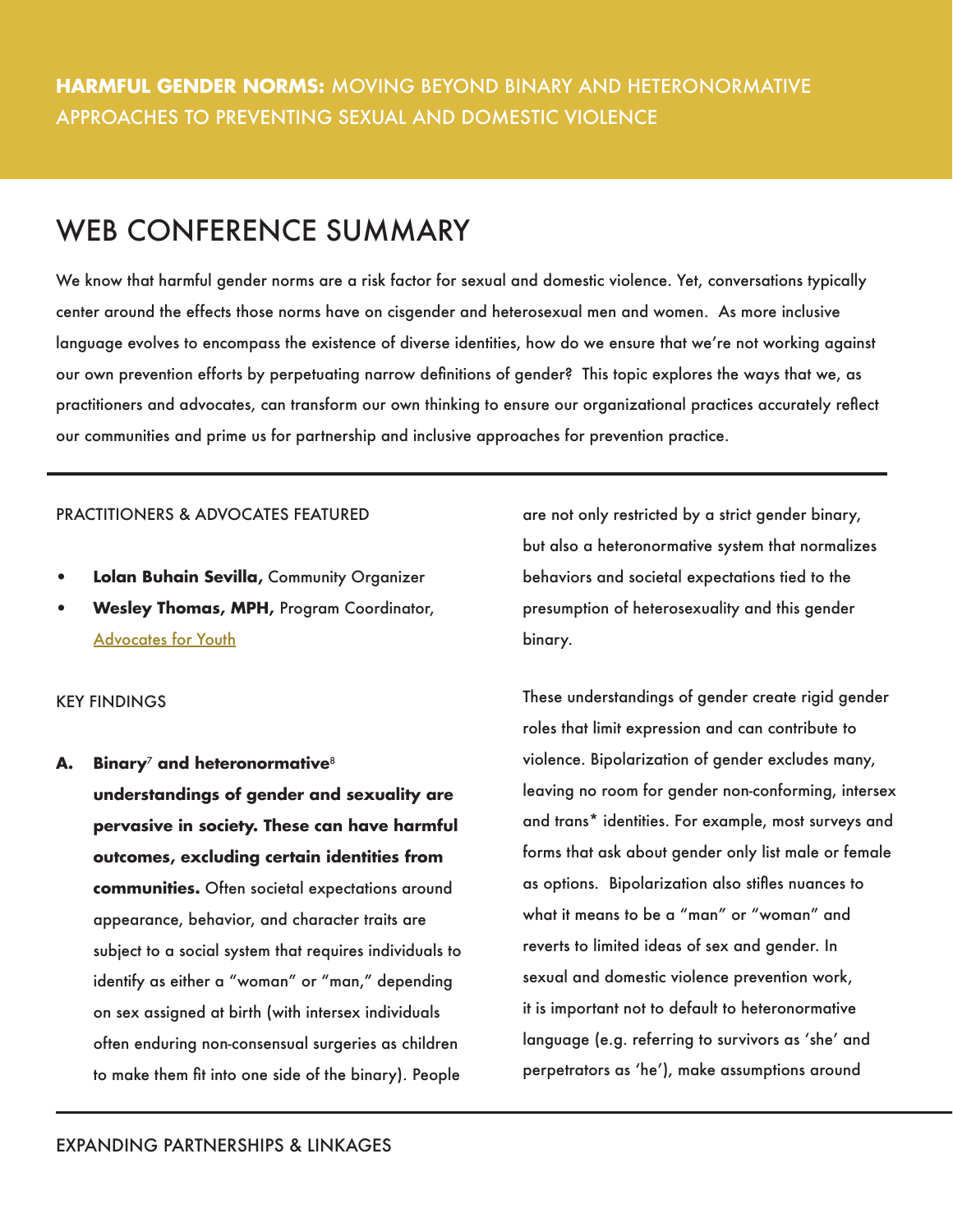# WEB CONFERENCE SUMMARY

We know that harmful gender norms are a risk factor for sexual and domestic violence. Yet, conversations typically center around the effects those norms have on cisgender and heterosexual men and women. As more inclusive language evolves to encompass the existence of diverse identities, how do we ensure that we're not working against our own prevention efforts by perpetuating narrow definitions of gender? This topic explores the ways that we, as practitioners and advocates, can transform our own thinking to ensure our organizational practices accurately reflect our communities and prime us for partnership and inclusive approaches for prevention practice.

## PRACTITIONERS & ADVOCATES FEATURED

- **• Lolan Buhain Sevilla,** Community Organizer
- **• Wesley Thomas, MPH,** Program Coordinator, [Advocates for Youth](http://www.advocatesforyouth.org/index.php)

# KEY FINDINGS

**A. Binary**7 **and heteronormative**<sup>8</sup> **understandings of gender and sexuality are pervasive in society. These can have harmful outcomes, excluding certain identities from communities.** Often societal expectations around appearance, behavior, and character traits are subject to a social system that requires individuals to identify as either a "woman" or "man," depending on sex assigned at birth (with intersex individuals often enduring non-consensual surgeries as children to make them fit into one side of the binary). People

are not only restricted by a strict gender binary, but also a heteronormative system that normalizes behaviors and societal expectations tied to the presumption of heterosexuality and this gender binary.

These understandings of gender create rigid gender roles that limit expression and can contribute to violence. Bipolarization of gender excludes many, leaving no room for gender non-conforming, intersex and trans\* identities. For example, most surveys and forms that ask about gender only list male or female as options. Bipolarization also stifles nuances to what it means to be a "man" or "woman" and reverts to limited ideas of sex and gender. In sexual and domestic violence prevention work, it is important not to default to heteronormative language (e.g. referring to survivors as 'she' and perpetrators as 'he'), make assumptions around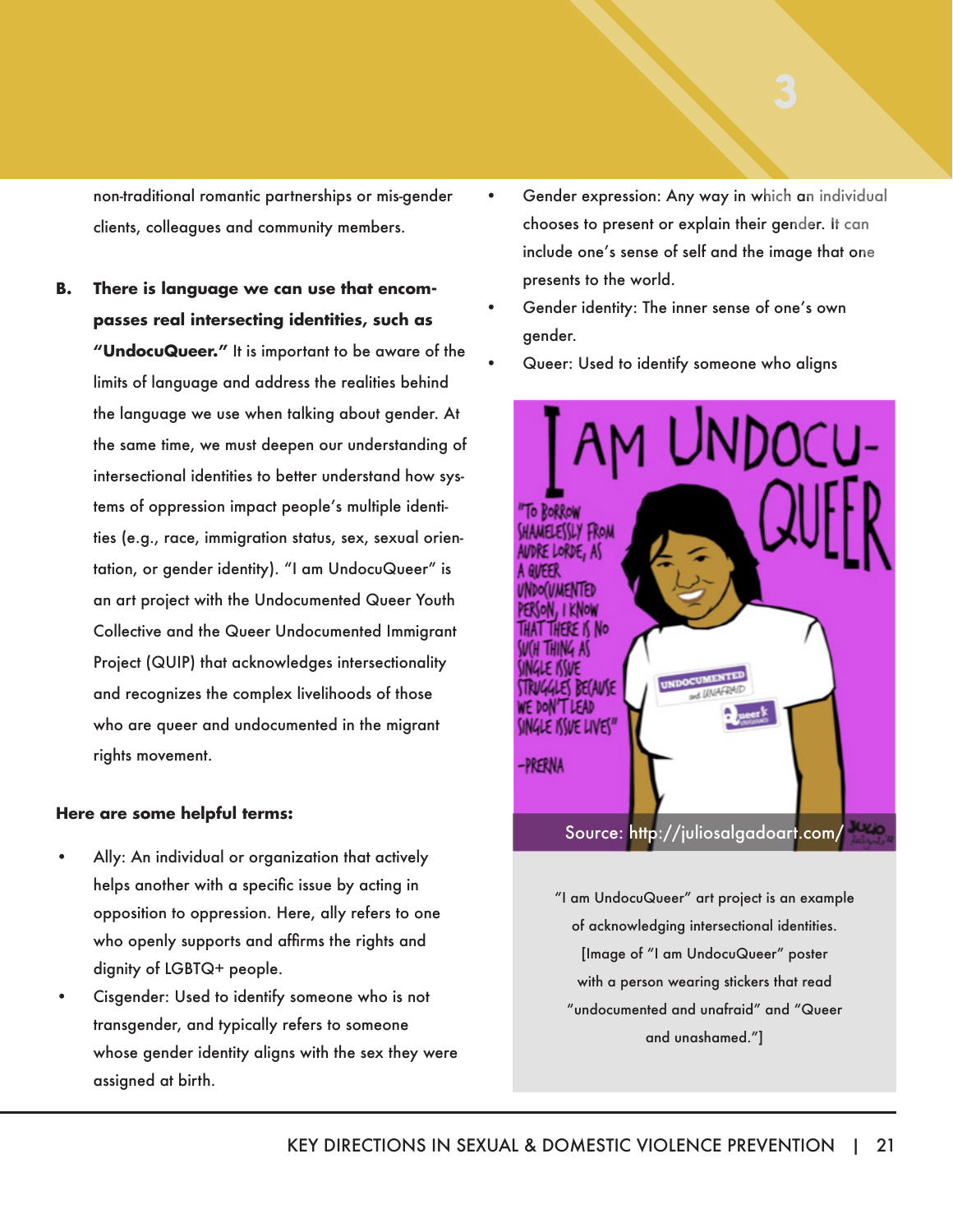non-traditional romantic partnerships or mis-gender clients, colleagues and community members.

**B. There is language we can use that encompasses real intersecting identities, such as "UndocuQueer."** It is important to be aware of the limits of language and address the realities behind the language we use when talking about gender. At the same time, we must deepen our understanding of intersectional identities to better understand how systems of oppression impact people's multiple identities (e.g., race, immigration status, sex, sexual orientation, or gender identity). "I am UndocuQueer" is an art project with the Undocumented Queer Youth Collective and the Queer Undocumented Immigrant Project (QUIP) that acknowledges intersectionality and recognizes the complex livelihoods of those who are queer and undocumented in the migrant rights movement.

#### **Here are some helpful terms:**

- Ally: An individual or organization that actively helps another with a specific issue by acting in opposition to oppression. Here, ally refers to one who openly supports and affirms the rights and dignity of LGBTQ+ people.
- Cisgender: Used to identify someone who is not transgender, and typically refers to someone whose gender identity aligns with the sex they were assigned at birth.
- Gender expression: Any way in which an individual chooses to present or explain their gender. It can include one's sense of self and the image that one presents to the world.
- Gender identity: The inner sense of one's own gender.
- Queer: Used to identify someone who aligns



"I am UndocuQueer" art project is an example of acknowledging intersectional identities. [Image of "I am UndocuQueer" poster with a person wearing stickers that read "undocumented and unafraid" and "Queer and unashamed."]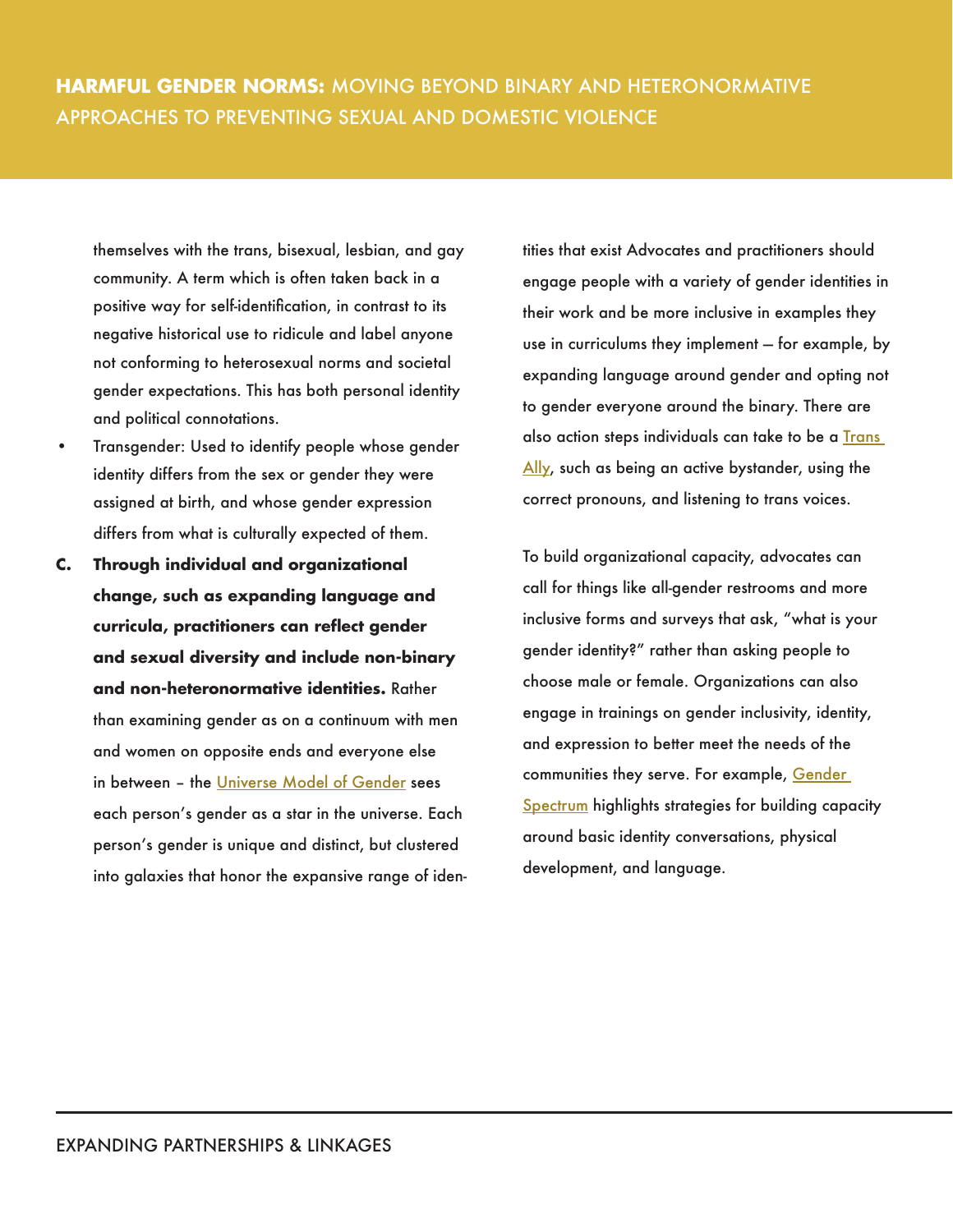themselves with the trans, bisexual, lesbian, and gay community. A term which is often taken back in a positive way for self-identification, in contrast to its negative historical use to ridicule and label anyone not conforming to heterosexual norms and societal gender expectations. This has both personal identity and political connotations.

- Transgender: Used to identify people whose gender identity differs from the sex or gender they were assigned at birth, and whose gender expression differs from what is culturally expected of them.
- **C. Through individual and organizational change, such as expanding language and curricula, practitioners can reflect gender and sexual diversity and include non-binary and non-heteronormative identities.** Rather than examining gender as on a continuum with men and women on opposite ends and everyone else in between – the [Universe Model of Gender s](http://www.preventconnect.org/wp-content/uploads/2016/02/Universe-Model-of-Gender-2015.pdf)ees each person's gender as a star in the universe. Each person's gender is unique and distinct, but clustered into galaxies that honor the expansive range of iden-

tities that exist Advocates and practitioners should engage people with a variety of gender identities in their work and be more inclusive in examples they use in curriculums they implement — for example, by expanding language around gender and opting not to gender everyone around the binary. There are also action steps individuals can take to be a **Trans** [Ally,](http://www.preventconnect.org/wp-content/uploads/2016/02/Action-Steps-for-Being-a-Trans-Ally_April2017.pdf) such as being an active bystander, using the correct pronouns, and listening to trans voices.

To build organizational capacity, advocates can call for things like all-gender restrooms and more inclusive forms and surveys that ask, "what is your gender identity?" rather than asking people to choose male or female. Organizations can also engage in trainings on gender inclusivity, identity, and expression to better meet the needs of the communities they serve. For example, Gender [Spectrum](https://www.genderspectrum.org/) highlights strategies for building capacity around basic identity conversations, physical development, and language.